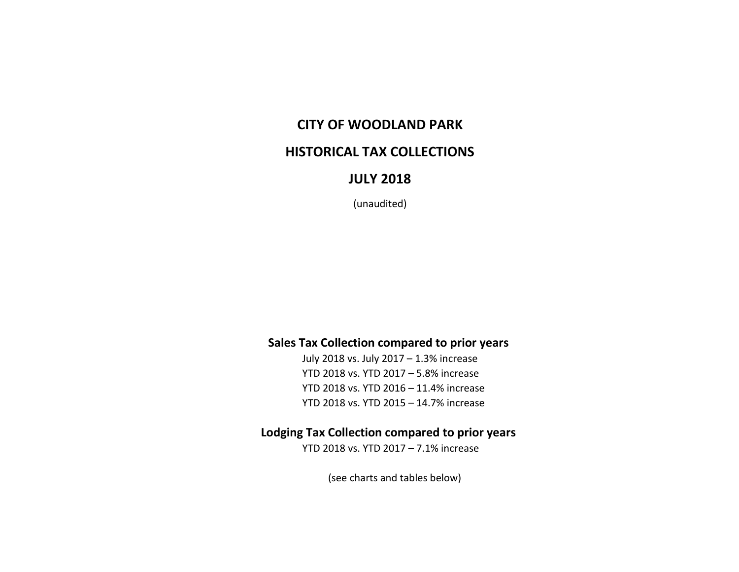## **CITY OF WOODLAND PARK**

### **HISTORICAL TAX COLLECTIONS**

### **JULY 2018**

(unaudited)

#### **Sales Tax Collection compared to prior years**

July 2018 vs. July 2017 – 1.3% increase YTD 2018 vs. YTD 2017 – 5.8% increase YTD 2018 vs. YTD 2016 – 11.4% increase YTD 2018 vs. YTD 2015 – 14.7% increase

#### **Lodging Tax Collection compared to prior years**

YTD 2018 vs. YTD 2017 – 7.1% increase

(see charts and tables below)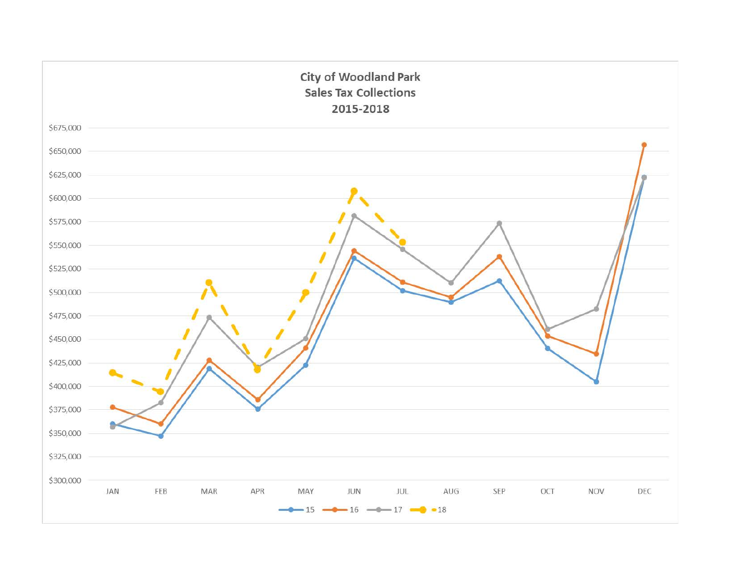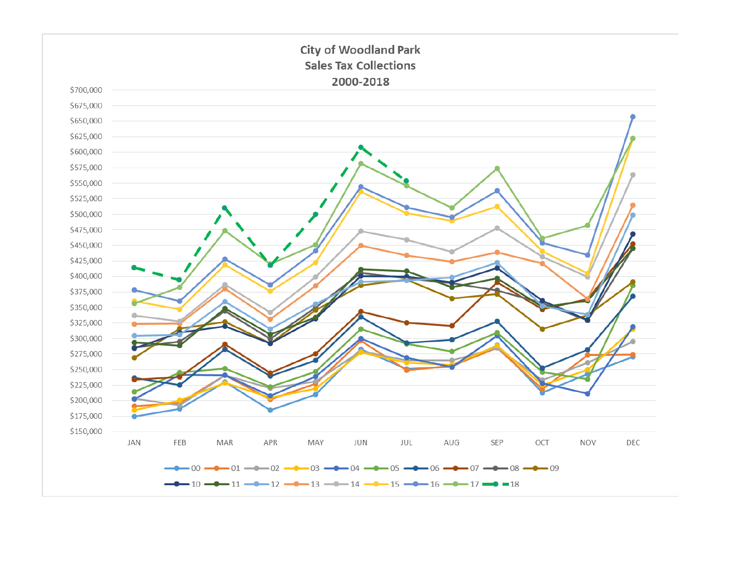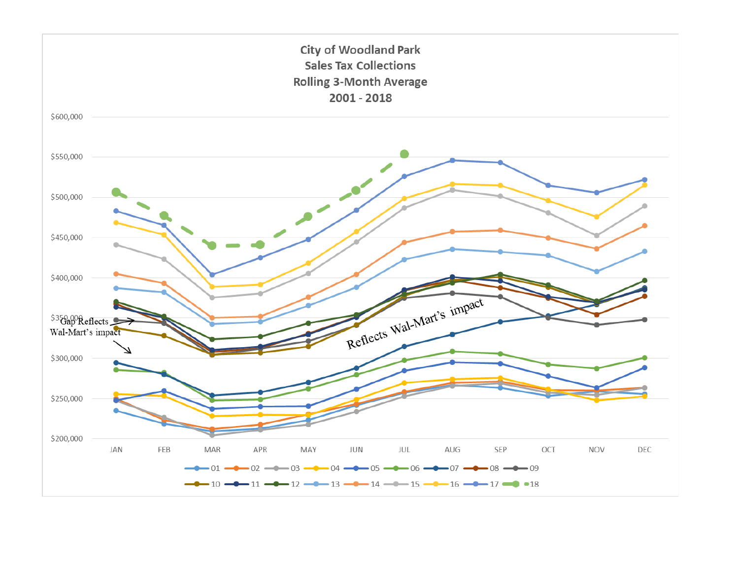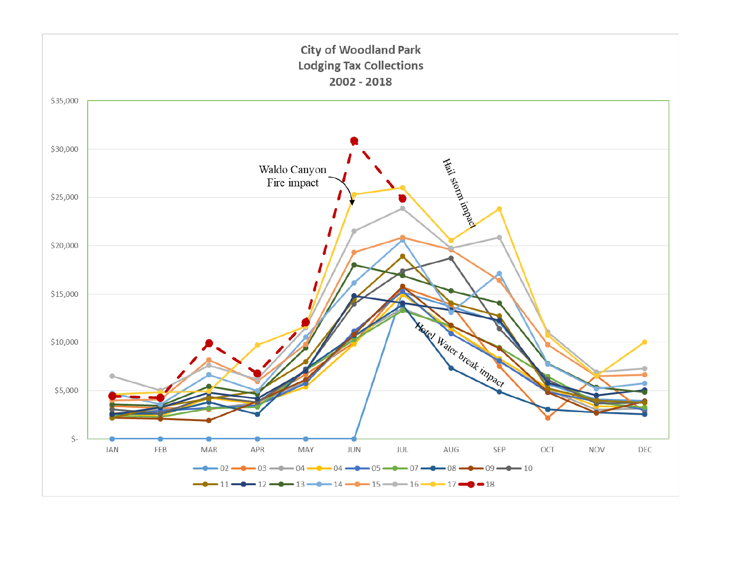